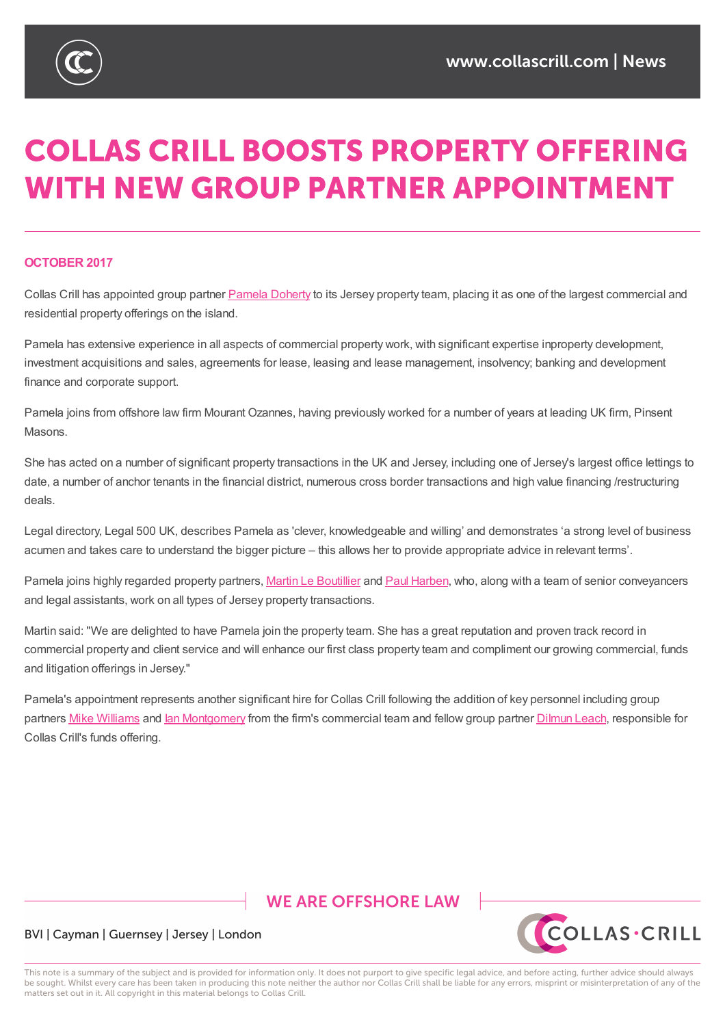

# **COLLAS CRILL BOOSTS PROPERTY OFFERING WITH NEW GROUP PARTNER APPOINTMENT**

#### **OCTOBER 2017**

Collas Crill has appointed group partner Pamela Doherty to its Jersey property team, placing it as one of the largest commercial and residential property offerings on the island.

Pamela has extensive experience in all aspects of commercial property work, with significant expertise inproperty development, investment acquisitions and sales, agre[ements](https://www.collascrill.com/who-we-are/d/pamela-doherty/) for lease, leasing and lease management, insolvency; banking and development finance and corporate support.

Pamela joins from offshore law firm Mourant Ozannes, having previously worked for a number of years at leading UK firm, Pinsent Masons.

She has acted on a number of significant property transactions in the UK and Jersey, including one of Jersey's largest office lettings to date, a number of anchor tenants in the financial district, numerous cross border transactions and high value financing /restructuring deals.

Legal directory, Legal 500 UK, describes Pamela as 'clever, knowledgeable and willing' and demonstrates 'a strong level of business acumen and takes care to understand the bigger picture – this allows her to provide appropriate advice in relevant terms'.

Pamela joins highly regarded property partners, Martin Le Boutillier and Paul Harben, who, along with a team of senior conveyancers and legal assistants, work on all types of Jersey property transactions.

Martin said: "We are delighted to have Pamela join the property team. She has a great reputation and proven track record in commercial property and client service and will [enhance](https://www.collascrill.com/who-we-are/l/martin-le-boutillier/) our first class p[roperty](https://www.collascrill.com/who-we-are/h/paul-harben/) team and compliment our growing commercial, funds and litigation offerings in Jersey."

Pamela's appointment represents another significant hire for Collas Crill following the addition of key personnel including group partners Mike Williams and lan Montgomery from the firm's commercial team and fellow group partner Dilmun Leach, responsible for Collas Crill's funds offering.

## **WE ARE OFFSHORE LAW**



#### BVI | Cayman | Guernsey | Jersey | London

This note is a summary of the subject and is provided for information only. It does not purport to give specific legal advice, and before acting, further advice should always be sought. Whilst every care has been taken in producing this note neither the author nor Collas Crill shall be liable for any errors, misprint or misinterpretation of any of the matters set out in it. All copyright in this material belongs to Collas Crill.